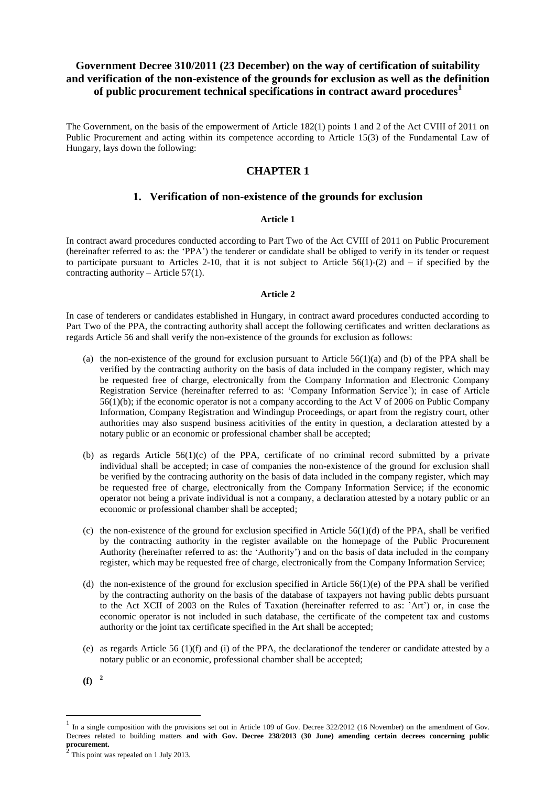# **Government Decree 310/2011 (23 December) on the way of certification of suitability and verification of the non-existence of the grounds for exclusion as well as the definition of public procurement technical specifications in contract award procedures<sup>1</sup>**

The Government, on the basis of the empowerment of Article 182(1) points 1 and 2 of the Act CVIII of 2011 on Public Procurement and acting within its competence according to Article 15(3) of the Fundamental Law of Hungary, lays down the following:

# **CHAPTER 1**

## **1. Verification of non-existence of the grounds for exclusion**

### **Article 1**

In contract award procedures conducted according to Part Two of the Act CVIII of 2011 on Public Procurement (hereinafter referred to as: the 'PPA') the tenderer or candidate shall be obliged to verify in its tender or request to participate pursuant to Articles 2-10, that it is not subject to Article  $56(1)-(2)$  and – if specified by the contracting authority – Article  $57(1)$ .

## **Article 2**

In case of tenderers or candidates established in Hungary, in contract award procedures conducted according to Part Two of the PPA, the contracting authority shall accept the following certificates and written declarations as regards Article 56 and shall verify the non-existence of the grounds for exclusion as follows:

- (a) the non-existence of the ground for exclusion pursuant to Article  $56(1)(a)$  and (b) of the PPA shall be verified by the contracting authority on the basis of data included in the company register, which may be requested free of charge, electronically from the Company Information and Electronic Company Registration Service (hereinafter referred to as: 'Company Information Service'); in case of Article 56(1)(b); if the economic operator is not a company according to the Act V of 2006 on Public Company Information, Company Registration and Windingup Proceedings, or apart from the registry court, other authorities may also suspend business acitivities of the entity in question, a declaration attested by a notary public or an economic or professional chamber shall be accepted;
- (b) as regards Article  $56(1)(c)$  of the PPA, certificate of no criminal record submitted by a private individual shall be accepted; in case of companies the non-existence of the ground for exclusion shall be verified by the contracing authority on the basis of data included in the company register, which may be requested free of charge, electronically from the Company Information Service; if the economic operator not being a private individual is not a company, a declaration attested by a notary public or an economic or professional chamber shall be accepted;
- (c) the non-existence of the ground for exclusion specified in Article  $56(1)(d)$  of the PPA, shall be verified by the contracting authority in the register available on the homepage of the Public Procurement Authority (hereinafter referred to as: the 'Authority') and on the basis of data included in the company register, which may be requested free of charge, electronically from the Company Information Service;
- (d) the non-existence of the ground for exclusion specified in Article  $56(1)(e)$  of the PPA shall be verified by the contracting authority on the basis of the database of taxpayers not having public debts pursuant to the Act XCII of 2003 on the Rules of Taxation (hereinafter referred to as: 'Art') or, in case the economic operator is not included in such database, the certificate of the competent tax and customs authority or the joint tax certificate specified in the Art shall be accepted;
- (e) as regards Article 56 (1)(f) and (i) of the PPA, the declarationof the tenderer or candidate attested by a notary public or an economic, professional chamber shall be accepted;
- **(f) <sup>2</sup>**

<sup>1</sup> In a single composition with the provisions set out in Article 109 of Gov. Decree 322/2012 (16 November) on the amendment of Gov. Decrees related to building matters **and with Gov. Decree 238/2013 (30 June) amending certain decrees concerning public procurement.** 2

This point was repealed on 1 July 2013.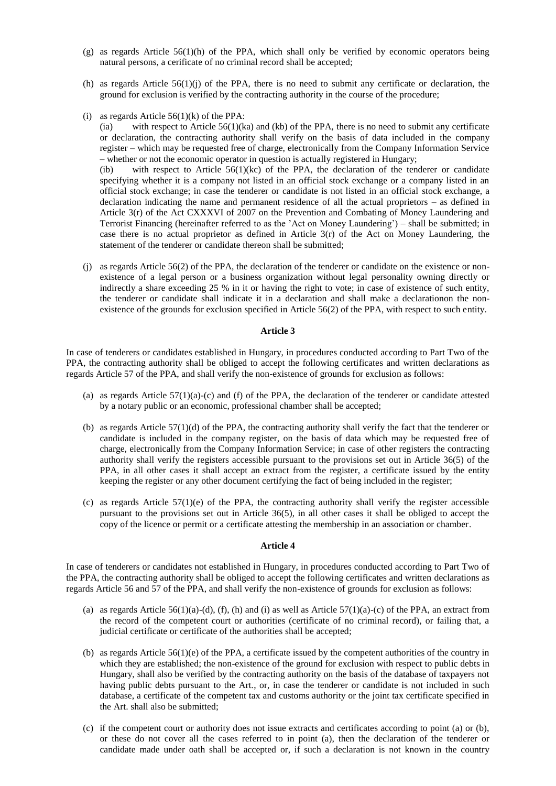- (g) as regards Article 56(1)(h) of the PPA, which shall only be verified by economic operators being natural persons, a cerificate of no criminal record shall be accepted;
- (h) as regards Article  $56(1)(i)$  of the PPA, there is no need to submit any certificate or declaration, the ground for exclusion is verified by the contracting authority in the course of the procedure;
- (i) as regards Article  $56(1)(k)$  of the PPA:

(ia) with respect to Article  $56(1)(ka)$  and (kb) of the PPA, there is no need to submit any certificate or declaration, the contracting authority shall verify on the basis of data included in the company register – which may be requested free of charge, electronically from the Company Information Service – whether or not the economic operator in question is actually registered in Hungary;

(ib) with respect to Article  $56(1)(kc)$  of the PPA, the declaration of the tenderer or candidate specifying whether it is a company not listed in an official stock exchange or a company listed in an official stock exchange; in case the tenderer or candidate is not listed in an official stock exchange, a declaration indicating the name and permanent residence of all the actual proprietors – as defined in Article 3(r) of the Act CXXXVI of 2007 on the Prevention and Combating of Money Laundering and Terrorist Financing (hereinafter referred to as the 'Act on Money Laundering') – shall be submitted; in case there is no actual proprietor as defined in Article  $3(r)$  of the Act on Money Laundering, the statement of the tenderer or candidate thereon shall be submitted;

(j) as regards Article 56(2) of the PPA, the declaration of the tenderer or candidate on the existence or nonexistence of a legal person or a business organization without legal personality owning directly or indirectly a share exceeding 25 % in it or having the right to vote; in case of existence of such entity, the tenderer or candidate shall indicate it in a declaration and shall make a declarationon the nonexistence of the grounds for exclusion specified in Article 56(2) of the PPA, with respect to such entity.

### **Article 3**

In case of tenderers or candidates established in Hungary, in procedures conducted according to Part Two of the PPA, the contracting authority shall be obliged to accept the following certificates and written declarations as regards Article 57 of the PPA, and shall verify the non-existence of grounds for exclusion as follows:

- (a) as regards Article  $57(1)(a)-(c)$  and (f) of the PPA, the declaration of the tenderer or candidate attested by a notary public or an economic, professional chamber shall be accepted;
- (b) as regards Article 57(1)(d) of the PPA, the contracting authority shall verify the fact that the tenderer or candidate is included in the company register, on the basis of data which may be requested free of charge, electronically from the Company Information Service; in case of other registers the contracting authority shall verify the registers accessible pursuant to the provisions set out in Article 36(5) of the PPA, in all other cases it shall accept an extract from the register, a certificate issued by the entity keeping the register or any other document certifying the fact of being included in the register;
- (c) as regards Article  $57(1)(e)$  of the PPA, the contracting authority shall verify the register accessible pursuant to the provisions set out in Article 36(5), in all other cases it shall be obliged to accept the copy of the licence or permit or a certificate attesting the membership in an association or chamber.

### **Article 4**

In case of tenderers or candidates not established in Hungary, in procedures conducted according to Part Two of the PPA, the contracting authority shall be obliged to accept the following certificates and written declarations as regards Article 56 and 57 of the PPA, and shall verify the non-existence of grounds for exclusion as follows:

- (a) as regards Article  $56(1)(a)$ -(d), (f), (h) and (i) as well as Article  $57(1)(a)$ -(c) of the PPA, an extract from the record of the competent court or authorities (certificate of no criminal record), or failing that, a judicial certificate or certificate of the authorities shall be accepted;
- (b) as regards Article 56(1)(e) of the PPA, a certificate issued by the competent authorities of the country in which they are established; the non-existence of the ground for exclusion with respect to public debts in Hungary, shall also be verified by the contracting authority on the basis of the database of taxpayers not having public debts pursuant to the Art., or, in case the tenderer or candidate is not included in such database, a certificate of the competent tax and customs authority or the joint tax certificate specified in the Art. shall also be submitted;
- (c) if the competent court or authority does not issue extracts and certificates according to point (a) or (b), or these do not cover all the cases referred to in point (a), then the declaration of the tenderer or candidate made under oath shall be accepted or, if such a declaration is not known in the country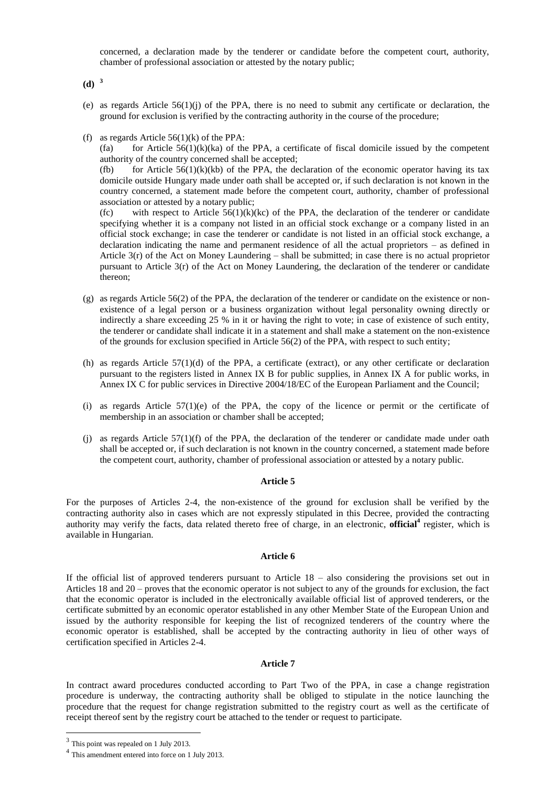concerned, a declaration made by the tenderer or candidate before the competent court, authority, chamber of professional association or attested by the notary public;

**(d) <sup>3</sup>**

- (e) as regards Article  $56(1)(i)$  of the PPA, there is no need to submit any certificate or declaration, the ground for exclusion is verified by the contracting authority in the course of the procedure;
- (f) as regards Article  $56(1)(k)$  of the PPA:

(fa) for Article  $56(1)(k)(ka)$  of the PPA, a certificate of fiscal domicile issued by the competent authority of the country concerned shall be accepted;

(fb) for Article  $56(1)(k)(kb)$  of the PPA, the declaration of the economic operator having its tax domicile outside Hungary made under oath shall be accepted or, if such declaration is not known in the country concerned, a statement made before the competent court, authority, chamber of professional association or attested by a notary public;

(fc) with respect to Article  $56(1)(k)(kc)$  of the PPA, the declaration of the tenderer or candidate specifying whether it is a company not listed in an official stock exchange or a company listed in an official stock exchange; in case the tenderer or candidate is not listed in an official stock exchange, a declaration indicating the name and permanent residence of all the actual proprietors – as defined in Article 3(r) of the Act on Money Laundering – shall be submitted; in case there is no actual proprietor pursuant to Article 3(r) of the Act on Money Laundering, the declaration of the tenderer or candidate thereon;

- (g) as regards Article 56(2) of the PPA, the declaration of the tenderer or candidate on the existence or nonexistence of a legal person or a business organization without legal personality owning directly or indirectly a share exceeding 25 % in it or having the right to vote; in case of existence of such entity, the tenderer or candidate shall indicate it in a statement and shall make a statement on the non-existence of the grounds for exclusion specified in Article 56(2) of the PPA, with respect to such entity;
- (h) as regards Article  $57(1)(d)$  of the PPA, a certificate (extract), or any other certificate or declaration pursuant to the registers listed in Annex IX B for public supplies, in Annex IX A for public works, in Annex IX C for public services in Directive 2004/18/EC of the European Parliament and the Council;
- (i) as regards Article  $57(1)(e)$  of the PPA, the copy of the licence or permit or the certificate of membership in an association or chamber shall be accepted;
- (i) as regards Article  $57(1)(f)$  of the PPA, the declaration of the tenderer or candidate made under oath shall be accepted or, if such declaration is not known in the country concerned, a statement made before the competent court, authority, chamber of professional association or attested by a notary public.

#### **Article 5**

For the purposes of Articles 2-4, the non-existence of the ground for exclusion shall be verified by the contracting authority also in cases which are not expressly stipulated in this Decree, provided the contracting authority may verify the facts, data related thereto free of charge, in an electronic, **official<sup>4</sup>** register, which is available in Hungarian.

### **Article 6**

If the official list of approved tenderers pursuant to Article 18 – also considering the provisions set out in Articles 18 and 20 – proves that the economic operator is not subject to any of the grounds for exclusion, the fact that the economic operator is included in the electronically available official list of approved tenderers, or the certificate submitted by an economic operator established in any other Member State of the European Union and issued by the authority responsible for keeping the list of recognized tenderers of the country where the economic operator is established, shall be accepted by the contracting authority in lieu of other ways of certification specified in Articles 2-4.

### **Article 7**

In contract award procedures conducted according to Part Two of the PPA, in case a change registration procedure is underway, the contracting authority shall be obliged to stipulate in the notice launching the procedure that the request for change registration submitted to the registry court as well as the certificate of receipt thereof sent by the registry court be attached to the tender or request to participate.

 $3$  This point was repealed on 1 July 2013.

<sup>4</sup> This amendment entered into force on 1 July 2013.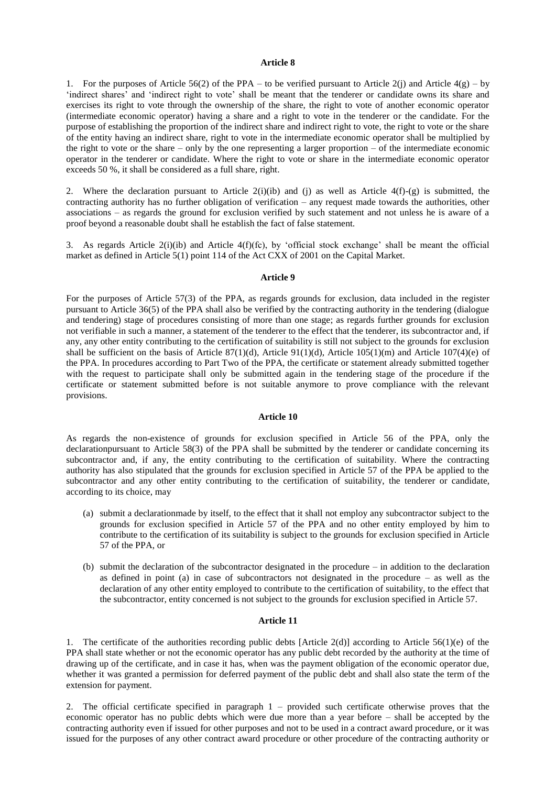#### **Article 8**

1. For the purposes of Article 56(2) of the PPA – to be verified pursuant to Article 2(j) and Article 4(g) – by 'indirect shares' and 'indirect right to vote' shall be meant that the tenderer or candidate owns its share and exercises its right to vote through the ownership of the share, the right to vote of another economic operator (intermediate economic operator) having a share and a right to vote in the tenderer or the candidate. For the purpose of establishing the proportion of the indirect share and indirect right to vote, the right to vote or the share of the entity having an indirect share, right to vote in the intermediate economic operator shall be multiplied by the right to vote or the share – only by the one representing a larger proportion – of the intermediate economic operator in the tenderer or candidate. Where the right to vote or share in the intermediate economic operator exceeds 50 %, it shall be considered as a full share, right.

2. Where the declaration pursuant to Article  $2(i)(ib)$  and (j) as well as Article  $4(f)-(g)$  is submitted, the contracting authority has no further obligation of verification – any request made towards the authorities, other associations – as regards the ground for exclusion verified by such statement and not unless he is aware of a proof beyond a reasonable doubt shall he establish the fact of false statement.

3. As regards Article 2(i)(ib) and Article 4(f)(fc), by 'official stock exchange' shall be meant the official market as defined in Article 5(1) point 114 of the Act CXX of 2001 on the Capital Market.

#### **Article 9**

For the purposes of Article 57(3) of the PPA, as regards grounds for exclusion, data included in the register pursuant to Article 36(5) of the PPA shall also be verified by the contracting authority in the tendering (dialogue and tendering) stage of procedures consisting of more than one stage; as regards further grounds for exclusion not verifiable in such a manner, a statement of the tenderer to the effect that the tenderer, its subcontractor and, if any, any other entity contributing to the certification of suitability is still not subject to the grounds for exclusion shall be sufficient on the basis of Article 87(1)(d), Article 91(1)(d), Article 105(1)(m) and Article 107(4)(e) of the PPA. In procedures according to Part Two of the PPA, the certificate or statement already submitted together with the request to participate shall only be submitted again in the tendering stage of the procedure if the certificate or statement submitted before is not suitable anymore to prove compliance with the relevant provisions.

#### **Article 10**

As regards the non-existence of grounds for exclusion specified in Article 56 of the PPA, only the declarationpursuant to Article 58(3) of the PPA shall be submitted by the tenderer or candidate concerning its subcontractor and, if any, the entity contributing to the certification of suitability. Where the contracting authority has also stipulated that the grounds for exclusion specified in Article 57 of the PPA be applied to the subcontractor and any other entity contributing to the certification of suitability, the tenderer or candidate, according to its choice, may

- (a) submit a declarationmade by itself, to the effect that it shall not employ any subcontractor subject to the grounds for exclusion specified in Article 57 of the PPA and no other entity employed by him to contribute to the certification of its suitability is subject to the grounds for exclusion specified in Article 57 of the PPA, or
- (b) submit the declaration of the subcontractor designated in the procedure in addition to the declaration as defined in point (a) in case of subcontractors not designated in the procedure  $-$  as well as the declaration of any other entity employed to contribute to the certification of suitability, to the effect that the subcontractor, entity concerned is not subject to the grounds for exclusion specified in Article 57.

### **Article 11**

1. The certificate of the authorities recording public debts [Article 2(d)] according to Article 56(1)(e) of the PPA shall state whether or not the economic operator has any public debt recorded by the authority at the time of drawing up of the certificate, and in case it has, when was the payment obligation of the economic operator due, whether it was granted a permission for deferred payment of the public debt and shall also state the term of the extension for payment.

2. The official certificate specified in paragraph 1 – provided such certificate otherwise proves that the economic operator has no public debts which were due more than a year before – shall be accepted by the contracting authority even if issued for other purposes and not to be used in a contract award procedure, or it was issued for the purposes of any other contract award procedure or other procedure of the contracting authority or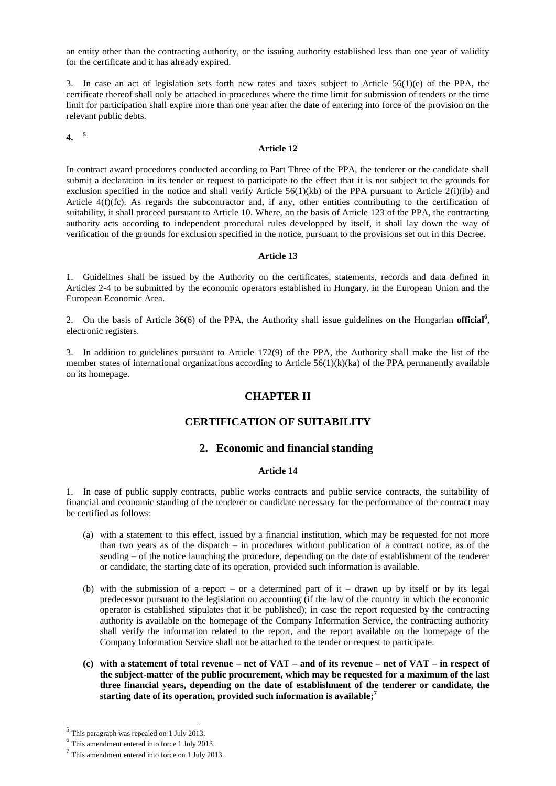an entity other than the contracting authority, or the issuing authority established less than one year of validity for the certificate and it has already expired.

3. In case an act of legislation sets forth new rates and taxes subject to Article 56(1)(e) of the PPA, the certificate thereof shall only be attached in procedures where the time limit for submission of tenders or the time limit for participation shall expire more than one year after the date of entering into force of the provision on the relevant public debts.

**4. <sup>5</sup>**

### **Article 12**

In contract award procedures conducted according to Part Three of the PPA, the tenderer or the candidate shall submit a declaration in its tender or request to participate to the effect that it is not subject to the grounds for exclusion specified in the notice and shall verify Article 56(1)(kb) of the PPA pursuant to Article 2(i)(ib) and Article 4(f)(fc). As regards the subcontractor and, if any, other entities contributing to the certification of suitability, it shall proceed pursuant to Article 10. Where, on the basis of Article 123 of the PPA, the contracting authority acts according to independent procedural rules developped by itself, it shall lay down the way of verification of the grounds for exclusion specified in the notice, pursuant to the provisions set out in this Decree.

#### **Article 13**

1. Guidelines shall be issued by the Authority on the certificates, statements, records and data defined in Articles 2-4 to be submitted by the economic operators established in Hungary, in the European Union and the European Economic Area.

2. On the basis of Article 36(6) of the PPA, the Authority shall issue guidelines on the Hungarian **official<sup>6</sup>** , electronic registers.

3. In addition to guidelines pursuant to Article 172(9) of the PPA, the Authority shall make the list of the member states of international organizations according to Article 56(1)(k)(ka) of the PPA permanently available on its homepage.

## **CHAPTER II**

## **CERTIFICATION OF SUITABILITY**

## **2. Economic and financial standing**

## **Article 14**

1. In case of public supply contracts, public works contracts and public service contracts, the suitability of financial and economic standing of the tenderer or candidate necessary for the performance of the contract may be certified as follows:

- (a) with a statement to this effect, issued by a financial institution, which may be requested for not more than two years as of the dispatch – in procedures without publication of a contract notice, as of the sending – of the notice launching the procedure, depending on the date of establishment of the tenderer or candidate, the starting date of its operation, provided such information is available.
- (b) with the submission of a report or a determined part of it drawn up by itself or by its legal predecessor pursuant to the legislation on accounting (if the law of the country in which the economic operator is established stipulates that it be published); in case the report requested by the contracting authority is available on the homepage of the Company Information Service, the contracting authority shall verify the information related to the report, and the report available on the homepage of the Company Information Service shall not be attached to the tender or request to participate.
- **(c) with a statement of total revenue – net of VAT – and of its revenue – net of VAT – in respect of the subject-matter of the public procurement, which may be requested for a maximum of the last three financial years, depending on the date of establishment of the tenderer or candidate, the starting date of its operation, provided such information is available; 7**

<sup>&</sup>lt;sup>5</sup> This paragraph was repealed on 1 July 2013.

<sup>6</sup> This amendment entered into force 1 July 2013.

<sup>&</sup>lt;sup>7</sup> This amendment entered into force on 1 July 2013.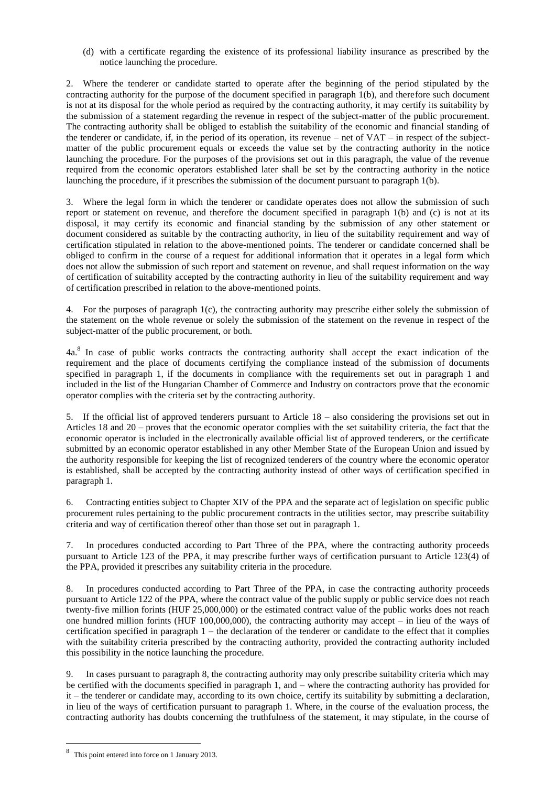(d) with a certificate regarding the existence of its professional liability insurance as prescribed by the notice launching the procedure.

2. Where the tenderer or candidate started to operate after the beginning of the period stipulated by the contracting authority for the purpose of the document specified in paragraph 1(b), and therefore such document is not at its disposal for the whole period as required by the contracting authority, it may certify its suitability by the submission of a statement regarding the revenue in respect of the subject-matter of the public procurement. The contracting authority shall be obliged to establish the suitability of the economic and financial standing of the tenderer or candidate, if, in the period of its operation, its revenue – net of VAT – in respect of the subjectmatter of the public procurement equals or exceeds the value set by the contracting authority in the notice launching the procedure. For the purposes of the provisions set out in this paragraph, the value of the revenue required from the economic operators established later shall be set by the contracting authority in the notice launching the procedure, if it prescribes the submission of the document pursuant to paragraph 1(b).

3. Where the legal form in which the tenderer or candidate operates does not allow the submission of such report or statement on revenue, and therefore the document specified in paragraph 1(b) and (c) is not at its disposal, it may certify its economic and financial standing by the submission of any other statement or document considered as suitable by the contracting authority, in lieu of the suitability requirement and way of certification stipulated in relation to the above-mentioned points. The tenderer or candidate concerned shall be obliged to confirm in the course of a request for additional information that it operates in a legal form which does not allow the submission of such report and statement on revenue, and shall request information on the way of certification of suitability accepted by the contracting authority in lieu of the suitability requirement and way of certification prescribed in relation to the above-mentioned points.

4. For the purposes of paragraph 1(c), the contracting authority may prescribe either solely the submission of the statement on the whole revenue or solely the submission of the statement on the revenue in respect of the subject-matter of the public procurement, or both.

4a.<sup>8</sup> In case of public works contracts the contracting authority shall accept the exact indication of the requirement and the place of documents certifying the compliance instead of the submission of documents specified in paragraph 1, if the documents in compliance with the requirements set out in paragraph 1 and included in the list of the Hungarian Chamber of Commerce and Industry on contractors prove that the economic operator complies with the criteria set by the contracting authority.

5. If the official list of approved tenderers pursuant to Article 18 – also considering the provisions set out in Articles 18 and 20 – proves that the economic operator complies with the set suitability criteria, the fact that the economic operator is included in the electronically available official list of approved tenderers, or the certificate submitted by an economic operator established in any other Member State of the European Union and issued by the authority responsible for keeping the list of recognized tenderers of the country where the economic operator is established, shall be accepted by the contracting authority instead of other ways of certification specified in paragraph 1.

6. Contracting entities subject to Chapter XIV of the PPA and the separate act of legislation on specific public procurement rules pertaining to the public procurement contracts in the utilities sector, may prescribe suitability criteria and way of certification thereof other than those set out in paragraph 1.

7. In procedures conducted according to Part Three of the PPA, where the contracting authority proceeds pursuant to Article 123 of the PPA, it may prescribe further ways of certification pursuant to Article 123(4) of the PPA, provided it prescribes any suitability criteria in the procedure.

8. In procedures conducted according to Part Three of the PPA, in case the contracting authority proceeds pursuant to Article 122 of the PPA, where the contract value of the public supply or public service does not reach twenty-five million forints (HUF 25,000,000) or the estimated contract value of the public works does not reach one hundred million forints (HUF 100,000,000), the contracting authority may accept – in lieu of the ways of certification specified in paragraph  $1 -$  the declaration of the tenderer or candidate to the effect that it complies with the suitability criteria prescribed by the contracting authority, provided the contracting authority included this possibility in the notice launching the procedure.

9. In cases pursuant to paragraph 8, the contracting authority may only prescribe suitability criteria which may be certified with the documents specified in paragraph 1, and – where the contracting authority has provided for it – the tenderer or candidate may, according to its own choice, certify its suitability by submitting a declaration, in lieu of the ways of certification pursuant to paragraph 1. Where, in the course of the evaluation process, the contracting authority has doubts concerning the truthfulness of the statement, it may stipulate, in the course of

<sup>&</sup>lt;sup>8</sup> This point entered into force on 1 January 2013.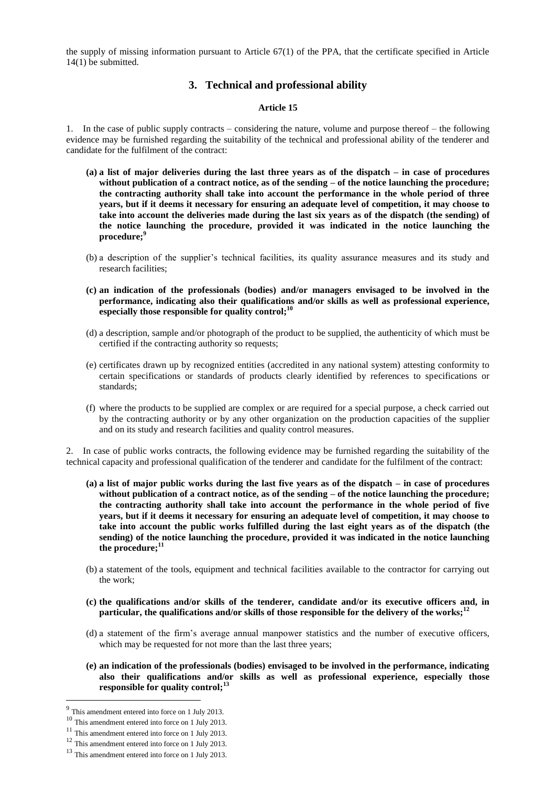the supply of missing information pursuant to Article 67(1) of the PPA, that the certificate specified in Article 14(1) be submitted.

# **3. Technical and professional ability**

### **Article 15**

1. In the case of public supply contracts – considering the nature, volume and purpose thereof – the following evidence may be furnished regarding the suitability of the technical and professional ability of the tenderer and candidate for the fulfilment of the contract:

- **(a) a list of major deliveries during the last three years as of the dispatch – in case of procedures without publication of a contract notice, as of the sending – of the notice launching the procedure; the contracting authority shall take into account the performance in the whole period of three years, but if it deems it necessary for ensuring an adequate level of competition, it may choose to take into account the deliveries made during the last six years as of the dispatch (the sending) of the notice launching the procedure, provided it was indicated in the notice launching the procedure; 9**
- (b) a description of the supplier's technical facilities, its quality assurance measures and its study and research facilities;
- **(c) an indication of the professionals (bodies) and/or managers envisaged to be involved in the performance, indicating also their qualifications and/or skills as well as professional experience, especially those responsible for quality control;<sup>10</sup>**
- (d) a description, sample and/or photograph of the product to be supplied, the authenticity of which must be certified if the contracting authority so requests;
- (e) certificates drawn up by recognized entities (accredited in any national system) attesting conformity to certain specifications or standards of products clearly identified by references to specifications or standards;
- (f) where the products to be supplied are complex or are required for a special purpose, a check carried out by the contracting authority or by any other organization on the production capacities of the supplier and on its study and research facilities and quality control measures.

2. In case of public works contracts, the following evidence may be furnished regarding the suitability of the technical capacity and professional qualification of the tenderer and candidate for the fulfilment of the contract:

- **(a) a list of major public works during the last five years as of the dispatch – in case of procedures without publication of a contract notice, as of the sending – of the notice launching the procedure; the contracting authority shall take into account the performance in the whole period of five years, but if it deems it necessary for ensuring an adequate level of competition, it may choose to take into account the public works fulfilled during the last eight years as of the dispatch (the sending) of the notice launching the procedure, provided it was indicated in the notice launching the procedure; 11**
- (b) a statement of the tools, equipment and technical facilities available to the contractor for carrying out the work;
- **(c) the qualifications and/or skills of the tenderer, candidate and/or its executive officers and, in particular, the qualifications and/or skills of those responsible for the delivery of the works;<sup>12</sup>**
- (d) a statement of the firm's average annual manpower statistics and the number of executive officers, which may be requested for not more than the last three years;
- **(e) an indication of the professionals (bodies) envisaged to be involved in the performance, indicating also their qualifications and/or skills as well as professional experience, especially those responsible for quality control;<sup>13</sup>**

<sup>&</sup>lt;sup>9</sup> This amendment entered into force on 1 July 2013.

<sup>&</sup>lt;sup>10</sup> This amendment entered into force on 1 July 2013.

<sup>&</sup>lt;sup>11</sup> This amendment entered into force on 1 July 2013.

<sup>12</sup> This amendment entered into force on 1 July 2013.

<sup>&</sup>lt;sup>13</sup> This amendment entered into force on 1 July 2013.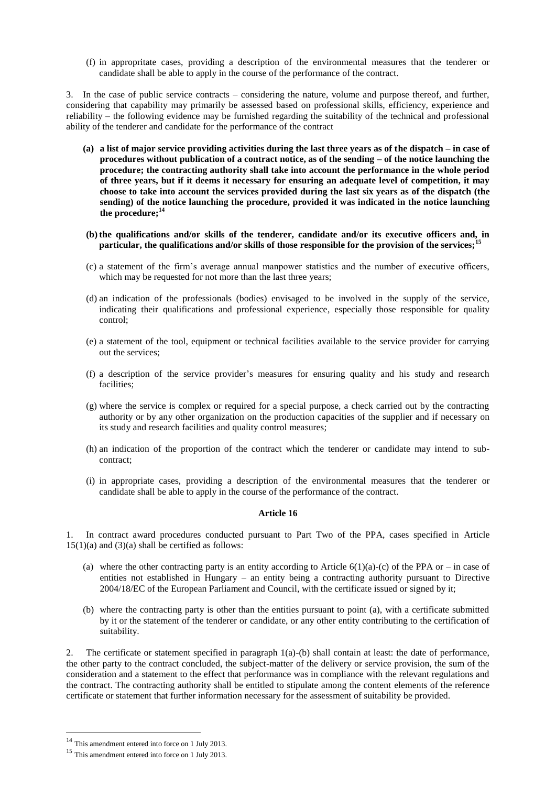(f) in appropritate cases, providing a description of the environmental measures that the tenderer or candidate shall be able to apply in the course of the performance of the contract.

3. In the case of public service contracts – considering the nature, volume and purpose thereof, and further, considering that capability may primarily be assessed based on professional skills, efficiency, experience and reliability – the following evidence may be furnished regarding the suitability of the technical and professional ability of the tenderer and candidate for the performance of the contract

- **(a) a list of major service providing activities during the last three years as of the dispatch – in case of procedures without publication of a contract notice, as of the sending – of the notice launching the procedure; the contracting authority shall take into account the performance in the whole period of three years, but if it deems it necessary for ensuring an adequate level of competition, it may choose to take into account the services provided during the last six years as of the dispatch (the sending) of the notice launching the procedure, provided it was indicated in the notice launching the procedure; 14**
- **(b) the qualifications and/or skills of the tenderer, candidate and/or its executive officers and, in particular, the qualifications and/or skills of those responsible for the provision of the services;<sup>15</sup>**
- (c) a statement of the firm's average annual manpower statistics and the number of executive officers, which may be requested for not more than the last three years;
- (d) an indication of the professionals (bodies) envisaged to be involved in the supply of the service, indicating their qualifications and professional experience, especially those responsible for quality control;
- (e) a statement of the tool, equipment or technical facilities available to the service provider for carrying out the services;
- (f) a description of the service provider's measures for ensuring quality and his study and research facilities;
- (g) where the service is complex or required for a special purpose, a check carried out by the contracting authority or by any other organization on the production capacities of the supplier and if necessary on its study and research facilities and quality control measures;
- (h) an indication of the proportion of the contract which the tenderer or candidate may intend to subcontract;
- (i) in appropriate cases, providing a description of the environmental measures that the tenderer or candidate shall be able to apply in the course of the performance of the contract.

## **Article 16**

1. In contract award procedures conducted pursuant to Part Two of the PPA, cases specified in Article  $15(1)(a)$  and  $(3)(a)$  shall be certified as follows:

- (a) where the other contracting party is an entity according to Article  $6(1)(a)-(c)$  of the PPA or in case of entities not established in Hungary – an entity being a contracting authority pursuant to Directive 2004/18/EC of the European Parliament and Council, with the certificate issued or signed by it;
- (b) where the contracting party is other than the entities pursuant to point (a), with a certificate submitted by it or the statement of the tenderer or candidate, or any other entity contributing to the certification of suitability.

2. The certificate or statement specified in paragraph 1(a)-(b) shall contain at least: the date of performance, the other party to the contract concluded, the subject-matter of the delivery or service provision, the sum of the consideration and a statement to the effect that performance was in compliance with the relevant regulations and the contract. The contracting authority shall be entitled to stipulate among the content elements of the reference certificate or statement that further information necessary for the assessment of suitability be provided.

 $14$  This amendment entered into force on 1 July 2013.

<sup>15</sup> This amendment entered into force on 1 July 2013.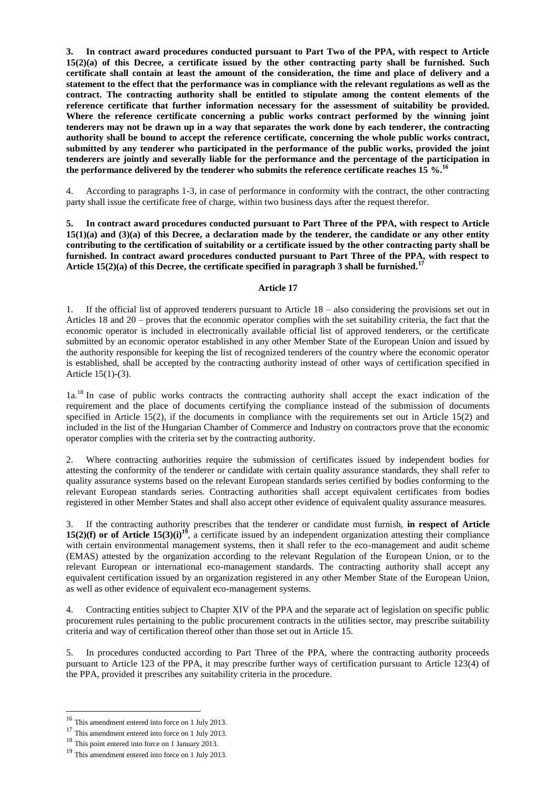**3. In contract award procedures conducted pursuant to Part Two of the PPA, with respect to Article 15(2)(a) of this Decree, a certificate issued by the other contracting party shall be furnished. Such certificate shall contain at least the amount of the consideration, the time and place of delivery and a statement to the effect that the performance was in compliance with the relevant regulations as well as the contract. The contracting authority shall be entitled to stipulate among the content elements of the reference certificate that further information necessary for the assessment of suitability be provided. Where the reference certificate concerning a public works contract performed by the winning joint tenderers may not be drawn up in a way that separates the work done by each tenderer, the contracting authority shall be bound to accept the reference certificate, concerning the whole public works contract, submitted by any tenderer who participated in the performance of the public works, provided the joint tenderers are jointly and severally liable for the performance and the percentage of the participation in the performance delivered by the tenderer who submits the reference certificate reaches 15 %.<sup>16</sup>**

4. According to paragraphs 1-3, in case of performance in conformity with the contract, the other contracting party shall issue the certificate free of charge, within two business days after the request therefor.

**5. In contract award procedures conducted pursuant to Part Three of the PPA, with respect to Article 15(1)(a) and (3)(a) of this Decree, a declaration made by the tenderer, the candidate or any other entity contributing to the certification of suitability or a certificate issued by the other contracting party shall be furnished. In contract award procedures conducted pursuant to Part Three of the PPA, with respect to Article 15(2)(a) of this Decree, the certificate specified in paragraph 3 shall be furnished.<sup>17</sup>**

### **Article 17**

1. If the official list of approved tenderers pursuant to Article 18 – also considering the provisions set out in Articles 18 and 20 – proves that the economic operator complies with the set suitability criteria, the fact that the economic operator is included in electronically available official list of approved tenderers, or the certificate submitted by an economic operator established in any other Member State of the European Union and issued by the authority responsible for keeping the list of recognized tenderers of the country where the economic operator is established, shall be accepted by the contracting authority instead of other ways of certification specified in Article 15(1)-(3).

1a<sup>18</sup> In case of public works contracts the contracting authority shall accept the exact indication of the requirement and the place of documents certifying the compliance instead of the submission of documents specified in Article 15(2), if the documents in compliance with the requirements set out in Article 15(2) and included in the list of the Hungarian Chamber of Commerce and Industry on contractors prove that the economic operator complies with the criteria set by the contracting authority.

2. Where contracting authorities require the submission of certificates issued by independent bodies for attesting the conformity of the tenderer or candidate with certain quality assurance standards, they shall refer to quality assurance systems based on the relevant European standards series certified by bodies conforming to the relevant European standards series. Contracting authorities shall accept equivalent certificates from bodies registered in other Member States and shall also accept other evidence of equivalent quality assurance measures.

3. If the contracting authority prescribes that the tenderer or candidate must furnish, **in respect of Article 15(2)(f) or of Article 15(3)(i)<sup>19</sup>**, a certificate issued by an independent organization attesting their compliance with certain environmental management systems, then it shall refer to the eco-management and audit scheme (EMAS) attested by the organization according to the relevant Regulation of the European Union, or to the relevant European or international eco-management standards. The contracting authority shall accept any equivalent certification issued by an organization registered in any other Member State of the European Union, as well as other evidence of equivalent eco-management systems.

4. Contracting entities subject to Chapter XIV of the PPA and the separate act of legislation on specific public procurement rules pertaining to the public procurement contracts in the utilities sector, may prescribe suitability criteria and way of certification thereof other than those set out in Article 15.

5. In procedures conducted according to Part Three of the PPA, where the contracting authority proceeds pursuant to Article 123 of the PPA, it may prescribe further ways of certification pursuant to Article 123(4) of the PPA, provided it prescribes any suitability criteria in the procedure.

<sup>16</sup> This amendment entered into force on 1 July 2013.

<sup>&</sup>lt;sup>17</sup> This amendment entered into force on 1 July 2013.

<sup>18</sup> This point entered into force on 1 January 2013.

<sup>&</sup>lt;sup>19</sup> This amendment entered into force on 1 July 2013.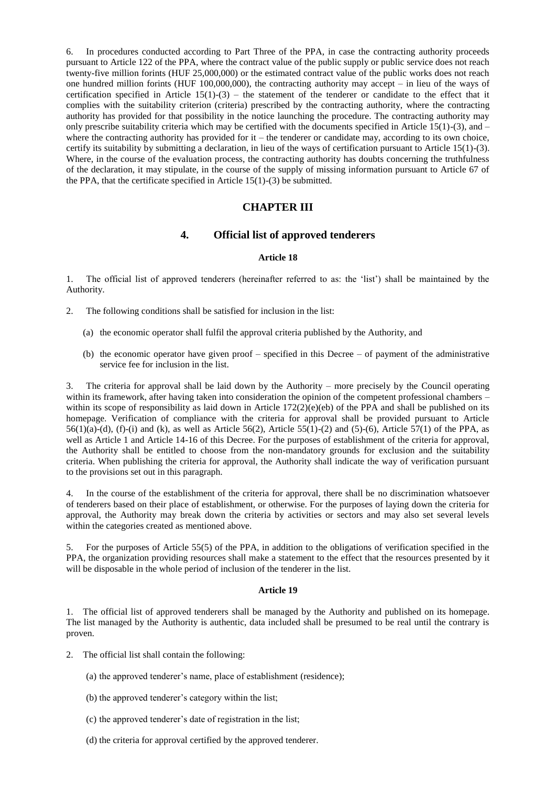6. In procedures conducted according to Part Three of the PPA, in case the contracting authority proceeds pursuant to Article 122 of the PPA, where the contract value of the public supply or public service does not reach twenty-five million forints (HUF 25,000,000) or the estimated contract value of the public works does not reach one hundred million forints (HUF 100,000,000), the contracting authority may accept – in lieu of the ways of certification specified in Article  $15(1)-(3)$  – the statement of the tenderer or candidate to the effect that it complies with the suitability criterion (criteria) prescribed by the contracting authority, where the contracting authority has provided for that possibility in the notice launching the procedure. The contracting authority may only prescribe suitability criteria which may be certified with the documents specified in Article  $15(1)-(3)$ , and – where the contracting authority has provided for it – the tenderer or candidate may, according to its own choice, certify its suitability by submitting a declaration, in lieu of the ways of certification pursuant to Article 15(1)-(3). Where, in the course of the evaluation process, the contracting authority has doubts concerning the truthfulness of the declaration, it may stipulate, in the course of the supply of missing information pursuant to Article 67 of the PPA, that the certificate specified in Article  $15(1)-(3)$  be submitted.

## **CHAPTER III**

## **4. Official list of approved tenderers**

#### **Article 18**

1. The official list of approved tenderers (hereinafter referred to as: the 'list') shall be maintained by the Authority.

2. The following conditions shall be satisfied for inclusion in the list:

- (a) the economic operator shall fulfil the approval criteria published by the Authority, and
- (b) the economic operator have given proof specified in this Decree of payment of the administrative service fee for inclusion in the list.

3. The criteria for approval shall be laid down by the Authority – more precisely by the Council operating within its framework, after having taken into consideration the opinion of the competent professional chambers – within its scope of responsibility as laid down in Article  $172(2)(e)(eb)$  of the PPA and shall be published on its homepage. Verification of compliance with the criteria for approval shall be provided pursuant to Article  $56(1)(a)-(d)$ , (f)-(i) and (k), as well as Article  $56(2)$ , Article  $55(1)-(2)$  and  $(5)-(6)$ , Article  $57(1)$  of the PPA, as well as Article 1 and Article 14-16 of this Decree. For the purposes of establishment of the criteria for approval, the Authority shall be entitled to choose from the non-mandatory grounds for exclusion and the suitability criteria. When publishing the criteria for approval, the Authority shall indicate the way of verification pursuant to the provisions set out in this paragraph.

4. In the course of the establishment of the criteria for approval, there shall be no discrimination whatsoever of tenderers based on their place of establishment, or otherwise. For the purposes of laying down the criteria for approval, the Authority may break down the criteria by activities or sectors and may also set several levels within the categories created as mentioned above.

5. For the purposes of Article 55(5) of the PPA, in addition to the obligations of verification specified in the PPA, the organization providing resources shall make a statement to the effect that the resources presented by it will be disposable in the whole period of inclusion of the tenderer in the list.

### **Article 19**

1. The official list of approved tenderers shall be managed by the Authority and published on its homepage. The list managed by the Authority is authentic, data included shall be presumed to be real until the contrary is proven.

- 2. The official list shall contain the following:
	- (a) the approved tenderer's name, place of establishment (residence);
	- (b) the approved tenderer's category within the list;
	- (c) the approved tenderer's date of registration in the list;
	- (d) the criteria for approval certified by the approved tenderer.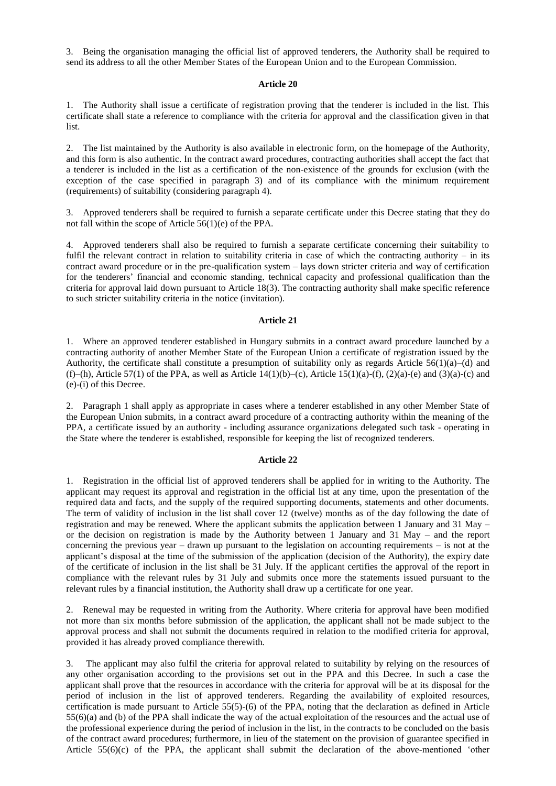3. Being the organisation managing the official list of approved tenderers, the Authority shall be required to send its address to all the other Member States of the European Union and to the European Commission.

#### **Article 20**

1. The Authority shall issue a certificate of registration proving that the tenderer is included in the list. This certificate shall state a reference to compliance with the criteria for approval and the classification given in that list.

2. The list maintained by the Authority is also available in electronic form, on the homepage of the Authority, and this form is also authentic. In the contract award procedures, contracting authorities shall accept the fact that a tenderer is included in the list as a certification of the non-existence of the grounds for exclusion (with the exception of the case specified in paragraph 3) and of its compliance with the minimum requirement (requirements) of suitability (considering paragraph 4).

3. Approved tenderers shall be required to furnish a separate certificate under this Decree stating that they do not fall within the scope of Article 56(1)(e) of the PPA.

4. Approved tenderers shall also be required to furnish a separate certificate concerning their suitability to fulfil the relevant contract in relation to suitability criteria in case of which the contracting authority – in its contract award procedure or in the pre-qualification system – lays down stricter criteria and way of certification for the tenderers' financial and economic standing, technical capacity and professional qualification than the criteria for approval laid down pursuant to Article 18(3). The contracting authority shall make specific reference to such stricter suitability criteria in the notice (invitation).

### **Article 21**

1. Where an approved tenderer established in Hungary submits in a contract award procedure launched by a contracting authority of another Member State of the European Union a certificate of registration issued by the Authority, the certificate shall constitute a presumption of suitability only as regards Article  $56(1)(a)$ –(d) and (f)–(h), Article 57(1) of the PPA, as well as Article 14(1)(b)–(c), Article 15(1)(a)-(f), (2)(a)-(e) and (3)(a)-(c) and (e)-(i) of this Decree.

2. Paragraph 1 shall apply as appropriate in cases where a tenderer established in any other Member State of the European Union submits, in a contract award procedure of a contracting authority within the meaning of the PPA, a certificate issued by an authority - including assurance organizations delegated such task - operating in the State where the tenderer is established, responsible for keeping the list of recognized tenderers.

#### **Article 22**

1. Registration in the official list of approved tenderers shall be applied for in writing to the Authority. The applicant may request its approval and registration in the official list at any time, upon the presentation of the required data and facts, and the supply of the required supporting documents, statements and other documents. The term of validity of inclusion in the list shall cover 12 (twelve) months as of the day following the date of registration and may be renewed. Where the applicant submits the application between 1 January and 31 May – or the decision on registration is made by the Authority between 1 January and 31 May – and the report concerning the previous year – drawn up pursuant to the legislation on accounting requirements – is not at the applicant's disposal at the time of the submission of the application (decision of the Authority), the expiry date of the certificate of inclusion in the list shall be 31 July. If the applicant certifies the approval of the report in compliance with the relevant rules by 31 July and submits once more the statements issued pursuant to the relevant rules by a financial institution, the Authority shall draw up a certificate for one year.

2. Renewal may be requested in writing from the Authority. Where criteria for approval have been modified not more than six months before submission of the application, the applicant shall not be made subject to the approval process and shall not submit the documents required in relation to the modified criteria for approval, provided it has already proved compliance therewith.

3. The applicant may also fulfil the criteria for approval related to suitability by relying on the resources of any other organisation according to the provisions set out in the PPA and this Decree. In such a case the applicant shall prove that the resources in accordance with the criteria for approval will be at its disposal for the period of inclusion in the list of approved tenderers. Regarding the availability of exploited resources, certification is made pursuant to Article 55(5)-(6) of the PPA, noting that the declaration as defined in Article 55(6)(a) and (b) of the PPA shall indicate the way of the actual exploitation of the resources and the actual use of the professional experience during the period of inclusion in the list, in the contracts to be concluded on the basis of the contract award procedures; furthermore, in lieu of the statement on the provision of guarantee specified in Article 55(6)(c) of the PPA, the applicant shall submit the declaration of the above-mentioned 'other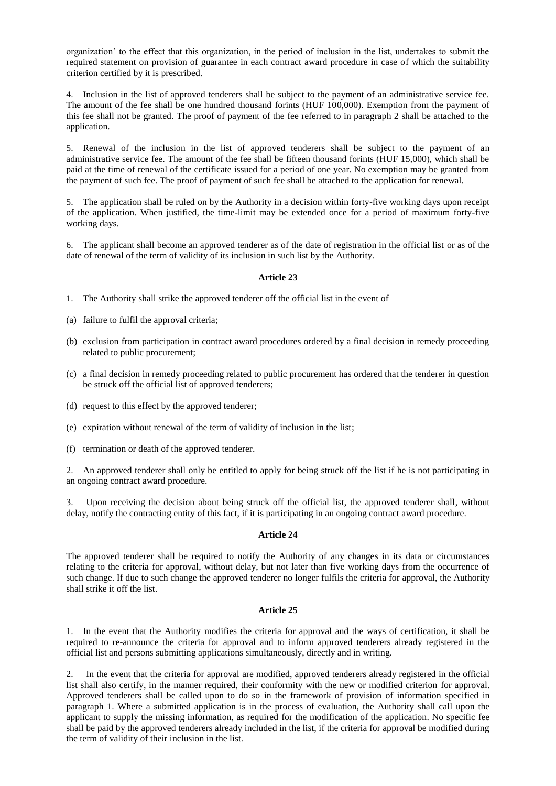organization' to the effect that this organization, in the period of inclusion in the list, undertakes to submit the required statement on provision of guarantee in each contract award procedure in case of which the suitability criterion certified by it is prescribed.

4. Inclusion in the list of approved tenderers shall be subject to the payment of an administrative service fee. The amount of the fee shall be one hundred thousand forints (HUF 100,000). Exemption from the payment of this fee shall not be granted. The proof of payment of the fee referred to in paragraph 2 shall be attached to the application.

5. Renewal of the inclusion in the list of approved tenderers shall be subject to the payment of an administrative service fee. The amount of the fee shall be fifteen thousand forints (HUF 15,000), which shall be paid at the time of renewal of the certificate issued for a period of one year. No exemption may be granted from the payment of such fee. The proof of payment of such fee shall be attached to the application for renewal.

5. The application shall be ruled on by the Authority in a decision within forty-five working days upon receipt of the application. When justified, the time-limit may be extended once for a period of maximum forty-five working days.

6. The applicant shall become an approved tenderer as of the date of registration in the official list or as of the date of renewal of the term of validity of its inclusion in such list by the Authority.

#### **Article 23**

- 1. The Authority shall strike the approved tenderer off the official list in the event of
- (a) failure to fulfil the approval criteria;
- (b) exclusion from participation in contract award procedures ordered by a final decision in remedy proceeding related to public procurement;
- (c) a final decision in remedy proceeding related to public procurement has ordered that the tenderer in question be struck off the official list of approved tenderers;
- (d) request to this effect by the approved tenderer;
- (e) expiration without renewal of the term of validity of inclusion in the list;
- (f) termination or death of the approved tenderer.

2. An approved tenderer shall only be entitled to apply for being struck off the list if he is not participating in an ongoing contract award procedure.

Upon receiving the decision about being struck off the official list, the approved tenderer shall, without delay, notify the contracting entity of this fact, if it is participating in an ongoing contract award procedure.

#### **Article 24**

The approved tenderer shall be required to notify the Authority of any changes in its data or circumstances relating to the criteria for approval, without delay, but not later than five working days from the occurrence of such change. If due to such change the approved tenderer no longer fulfils the criteria for approval, the Authority shall strike it off the list.

#### **Article 25**

1. In the event that the Authority modifies the criteria for approval and the ways of certification, it shall be required to re-announce the criteria for approval and to inform approved tenderers already registered in the official list and persons submitting applications simultaneously, directly and in writing.

2. In the event that the criteria for approval are modified, approved tenderers already registered in the official list shall also certify, in the manner required, their conformity with the new or modified criterion for approval. Approved tenderers shall be called upon to do so in the framework of provision of information specified in paragraph 1. Where a submitted application is in the process of evaluation, the Authority shall call upon the applicant to supply the missing information, as required for the modification of the application. No specific fee shall be paid by the approved tenderers already included in the list, if the criteria for approval be modified during the term of validity of their inclusion in the list.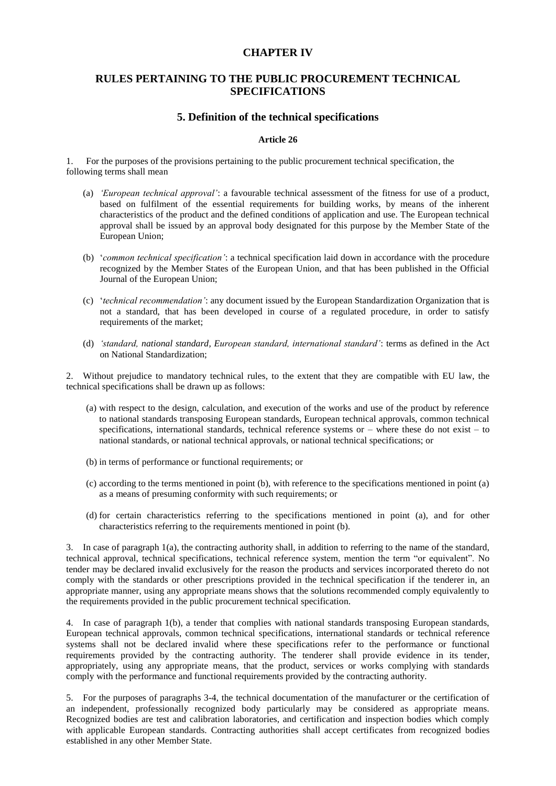## **CHAPTER IV**

# **RULES PERTAINING TO THE PUBLIC PROCUREMENT TECHNICAL SPECIFICATIONS**

## **5. Definition of the technical specifications**

### **Article 26**

1. For the purposes of the provisions pertaining to the public procurement technical specification, the following terms shall mean

- (a) *'European technical approval'*: a favourable technical assessment of the fitness for use of a product, based on fulfilment of the essential requirements for building works, by means of the inherent characteristics of the product and the defined conditions of application and use. The European technical approval shall be issued by an approval body designated for this purpose by the Member State of the European Union;
- (b) '*common technical specification'*: a technical specification laid down in accordance with the procedure recognized by the Member States of the European Union, and that has been published in the Official Journal of the European Union;
- (c) '*technical recommendation'*: any document issued by the European Standardization Organization that is not a standard, that has been developed in course of a regulated procedure, in order to satisfy requirements of the market;
- (d) *'standard, national standard, European standard, international standard'*: terms as defined in the Act on National Standardization;

2. Without prejudice to mandatory technical rules, to the extent that they are compatible with EU law, the technical specifications shall be drawn up as follows:

- (a) with respect to the design, calculation, and execution of the works and use of the product by reference to national standards transposing European standards, European technical approvals, common technical specifications, international standards, technical reference systems or – where these do not exist – to national standards, or national technical approvals, or national technical specifications; or
- (b) in terms of performance or functional requirements; or
- (c) according to the terms mentioned in point (b), with reference to the specifications mentioned in point (a) as a means of presuming conformity with such requirements; or
- (d) for certain characteristics referring to the specifications mentioned in point (a), and for other characteristics referring to the requirements mentioned in point (b).

3. In case of paragraph 1(a), the contracting authority shall, in addition to referring to the name of the standard, technical approval, technical specifications, technical reference system, mention the term "or equivalent". No tender may be declared invalid exclusively for the reason the products and services incorporated thereto do not comply with the standards or other prescriptions provided in the technical specification if the tenderer in, an appropriate manner, using any appropriate means shows that the solutions recommended comply equivalently to the requirements provided in the public procurement technical specification.

4. In case of paragraph 1(b), a tender that complies with national standards transposing European standards, European technical approvals, common technical specifications, international standards or technical reference systems shall not be declared invalid where these specifications refer to the performance or functional requirements provided by the contracting authority. The tenderer shall provide evidence in its tender, appropriately, using any appropriate means, that the product, services or works complying with standards comply with the performance and functional requirements provided by the contracting authority.

5. For the purposes of paragraphs 3-4, the technical documentation of the manufacturer or the certification of an independent, professionally recognized body particularly may be considered as appropriate means. Recognized bodies are test and calibration laboratories, and certification and inspection bodies which comply with applicable European standards. Contracting authorities shall accept certificates from recognized bodies established in any other Member State.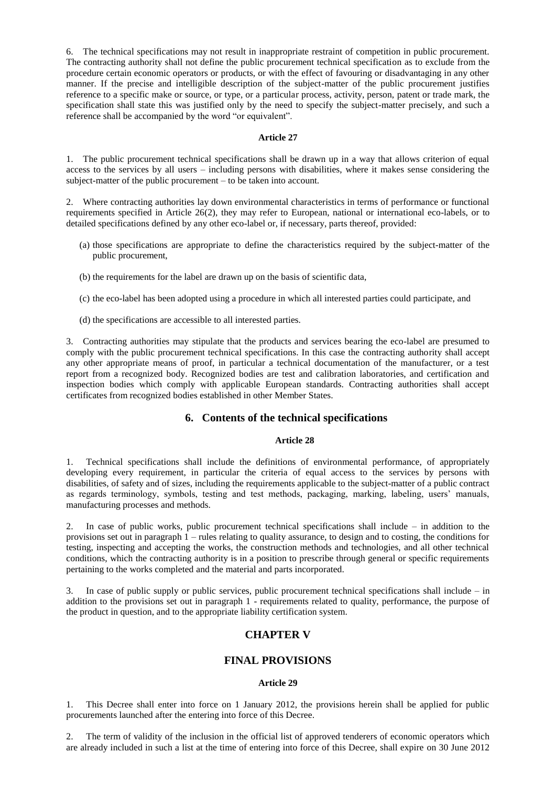6. The technical specifications may not result in inappropriate restraint of competition in public procurement. The contracting authority shall not define the public procurement technical specification as to exclude from the procedure certain economic operators or products, or with the effect of favouring or disadvantaging in any other manner. If the precise and intelligible description of the subject-matter of the public procurement justifies reference to a specific make or source, or type, or a particular process, activity, person, patent or trade mark, the specification shall state this was justified only by the need to specify the subject-matter precisely, and such a reference shall be accompanied by the word "or equivalent".

#### **Article 27**

1. The public procurement technical specifications shall be drawn up in a way that allows criterion of equal access to the services by all users – including persons with disabilities, where it makes sense considering the subject-matter of the public procurement – to be taken into account.

2. Where contracting authorities lay down environmental characteristics in terms of performance or functional requirements specified in Article 26(2), they may refer to European, national or international eco-labels, or to detailed specifications defined by any other eco-label or, if necessary, parts thereof, provided:

- (a) those specifications are appropriate to define the characteristics required by the subject-matter of the public procurement,
- (b) the requirements for the label are drawn up on the basis of scientific data,
- (c) the eco-label has been adopted using a procedure in which all interested parties could participate, and
- (d) the specifications are accessible to all interested parties.

3. Contracting authorities may stipulate that the products and services bearing the eco-label are presumed to comply with the public procurement technical specifications. In this case the contracting authority shall accept any other appropriate means of proof, in particular a technical documentation of the manufacturer, or a test report from a recognized body. Recognized bodies are test and calibration laboratories, and certification and inspection bodies which comply with applicable European standards. Contracting authorities shall accept certificates from recognized bodies established in other Member States.

## **6. Contents of the technical specifications**

## **Article 28**

1. Technical specifications shall include the definitions of environmental performance, of appropriately developing every requirement, in particular the criteria of equal access to the services by persons with disabilities, of safety and of sizes, including the requirements applicable to the subject-matter of a public contract as regards terminology, symbols, testing and test methods, packaging, marking, labeling, users' manuals, manufacturing processes and methods.

2. In case of public works, public procurement technical specifications shall include – in addition to the provisions set out in paragraph 1 – rules relating to quality assurance, to design and to costing, the conditions for testing, inspecting and accepting the works, the construction methods and technologies, and all other technical conditions, which the contracting authority is in a position to prescribe through general or specific requirements pertaining to the works completed and the material and parts incorporated.

3. In case of public supply or public services, public procurement technical specifications shall include – in addition to the provisions set out in paragraph 1 - requirements related to quality, performance, the purpose of the product in question, and to the appropriate liability certification system.

# **CHAPTER V**

## **FINAL PROVISIONS**

#### **Article 29**

1. This Decree shall enter into force on 1 January 2012, the provisions herein shall be applied for public procurements launched after the entering into force of this Decree.

2. The term of validity of the inclusion in the official list of approved tenderers of economic operators which are already included in such a list at the time of entering into force of this Decree, shall expire on 30 June 2012